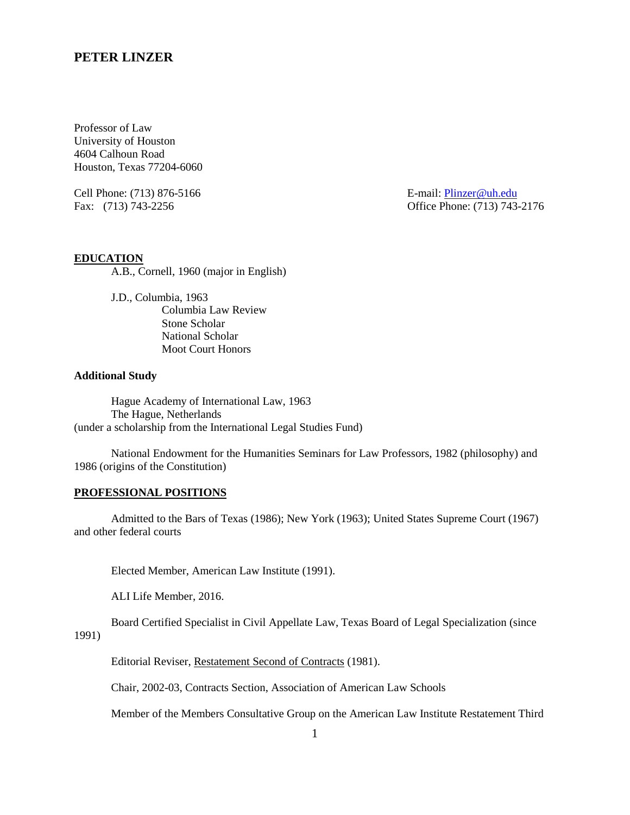# **PETER LINZER**

Professor of Law University of Houston 4604 Calhoun Road Houston, Texas 77204-6060

Cell Phone: (713) 876-5166 E-mail[: Plinzer@uh.edu](mailto:Plinzer@uh.edu)

Fax: (713) 743-2256 Office Phone: (713) 743-2176

#### **EDUCATION**

A.B., Cornell, 1960 (major in English)

J.D., Columbia, 1963 Columbia Law Review Stone Scholar National Scholar Moot Court Honors

### **Additional Study**

Hague Academy of International Law, 1963 The Hague, Netherlands (under a scholarship from the International Legal Studies Fund)

National Endowment for the Humanities Seminars for Law Professors, 1982 (philosophy) and 1986 (origins of the Constitution)

## **PROFESSIONAL POSITIONS**

Admitted to the Bars of Texas (1986); New York (1963); United States Supreme Court (1967) and other federal courts

Elected Member, American Law Institute (1991).

ALI Life Member, 2016.

Board Certified Specialist in Civil Appellate Law, Texas Board of Legal Specialization (since

1991)

Editorial Reviser, Restatement Second of Contracts (1981).

Chair, 2002-03, Contracts Section, Association of American Law Schools

Member of the Members Consultative Group on the American Law Institute Restatement Third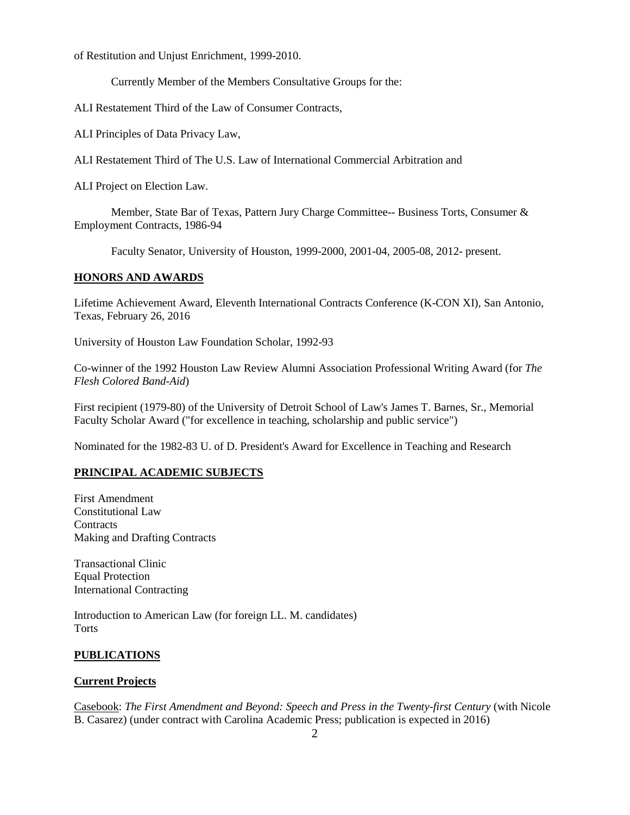of Restitution and Unjust Enrichment, 1999-2010.

Currently Member of the Members Consultative Groups for the:

ALI Restatement Third of the Law of Consumer Contracts,

ALI Principles of Data Privacy Law,

ALI Restatement Third of The U.S. Law of International Commercial Arbitration and

ALI Project on Election Law.

Member, State Bar of Texas, Pattern Jury Charge Committee-- Business Torts, Consumer & Employment Contracts, 1986-94

Faculty Senator, University of Houston, 1999-2000, 2001-04, 2005-08, 2012- present.

# **HONORS AND AWARDS**

Lifetime Achievement Award, Eleventh International Contracts Conference (K-CON XI), San Antonio, Texas, February 26, 2016

University of Houston Law Foundation Scholar, 1992-93

Co-winner of the 1992 Houston Law Review Alumni Association Professional Writing Award (for *The Flesh Colored Band-Aid*)

First recipient (1979-80) of the University of Detroit School of Law's James T. Barnes, Sr., Memorial Faculty Scholar Award ("for excellence in teaching, scholarship and public service")

Nominated for the 1982-83 U. of D. President's Award for Excellence in Teaching and Research

# **PRINCIPAL ACADEMIC SUBJECTS**

First Amendment Constitutional Law **Contracts** Making and Drafting Contracts

Transactional Clinic Equal Protection International Contracting

Introduction to American Law (for foreign LL. M. candidates) Torts

# **PUBLICATIONS**

## **Current Projects**

Casebook: *The First Amendment and Beyond: Speech and Press in the Twenty-first Century* (with Nicole B. Casarez) (under contract with Carolina Academic Press; publication is expected in 2016)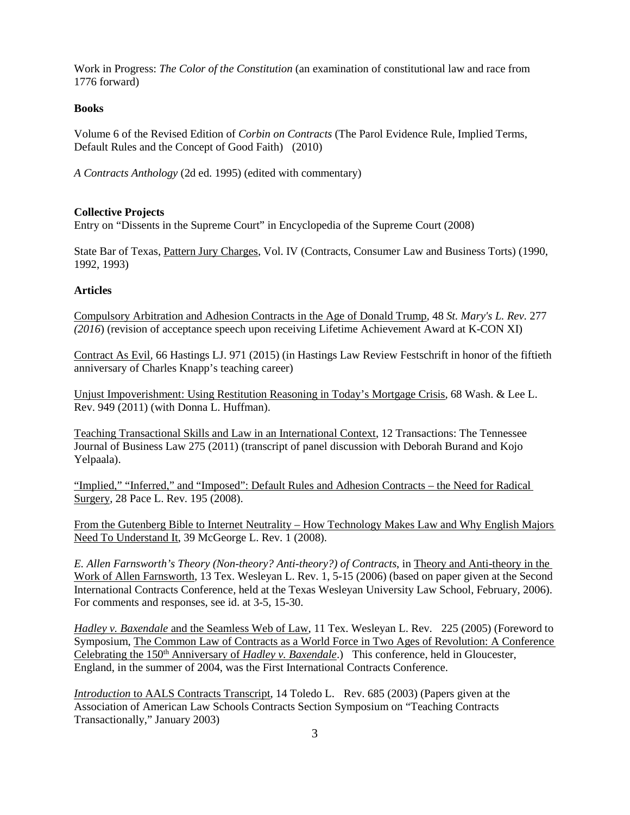Work in Progress: *The Color of the Constitution* (an examination of constitutional law and race from 1776 forward)

### **Books**

Volume 6 of the Revised Edition of *Corbin on Contracts* (The Parol Evidence Rule, Implied Terms, Default Rules and the Concept of Good Faith) (2010)

*A Contracts Anthology* (2d ed. 1995) (edited with commentary)

#### **Collective Projects**

Entry on "Dissents in the Supreme Court" in Encyclopedia of the Supreme Court (2008)

State Bar of Texas, Pattern Jury Charges, Vol. IV (Contracts, Consumer Law and Business Torts) (1990, 1992, 1993)

#### **Articles**

Compulsory Arbitration and Adhesion Contracts in the Age of Donald Trump*,* 48 *St. Mary's L. Rev.* 277 *(2016*) (revision of acceptance speech upon receiving Lifetime Achievement Award at K-CON XI)

Contract As Evil*,* 66 Hastings LJ. 971 (2015) (in Hastings Law Review Festschrift in honor of the fiftieth anniversary of Charles Knapp's teaching career)

Unjust Impoverishment: Using Restitution Reasoning in Today's Mortgage Crisis, 68 Wash. & Lee L. Rev. 949 (2011) (with Donna L. Huffman).

Teaching Transactional Skills and Law in an International Context, 12 Transactions: The Tennessee Journal of Business Law 275 (2011) (transcript of panel discussion with Deborah Burand and Kojo Yelpaala).

"Implied," "Inferred," and "Imposed": Default Rules and Adhesion Contracts – the Need for Radical Surgery, 28 Pace L. Rev. 195 (2008).

From the Gutenberg Bible to Internet Neutrality – How Technology Makes Law and Why English Majors Need To Understand It, 39 McGeorge L. Rev. 1 (2008).

*E. Allen Farnsworth's Theory (Non-theory? Anti-theory?) of Contracts*, in Theory and Anti-theory in the Work of Allen Farnsworth, 13 Tex. Wesleyan L. Rev. 1, 5-15 (2006) (based on paper given at the Second International Contracts Conference, held at the Texas Wesleyan University Law School, February, 2006). For comments and responses, see id. at 3-5, 15-30.

*Hadley v. Baxendale* and the Seamless Web of Law, 11 Tex. Wesleyan L. Rev. 225 (2005) (Foreword to Symposium, The Common Law of Contracts as a World Force in Two Ages of Revolution: A Conference Celebrating the 150th Anniversary of *Hadley v. Baxendale*.) This conference, held in Gloucester, England, in the summer of 2004, was the First International Contracts Conference.

*Introduction* to AALS Contracts Transcript, 14 Toledo L. Rev. 685 (2003) (Papers given at the Association of American Law Schools Contracts Section Symposium on "Teaching Contracts Transactionally," January 2003)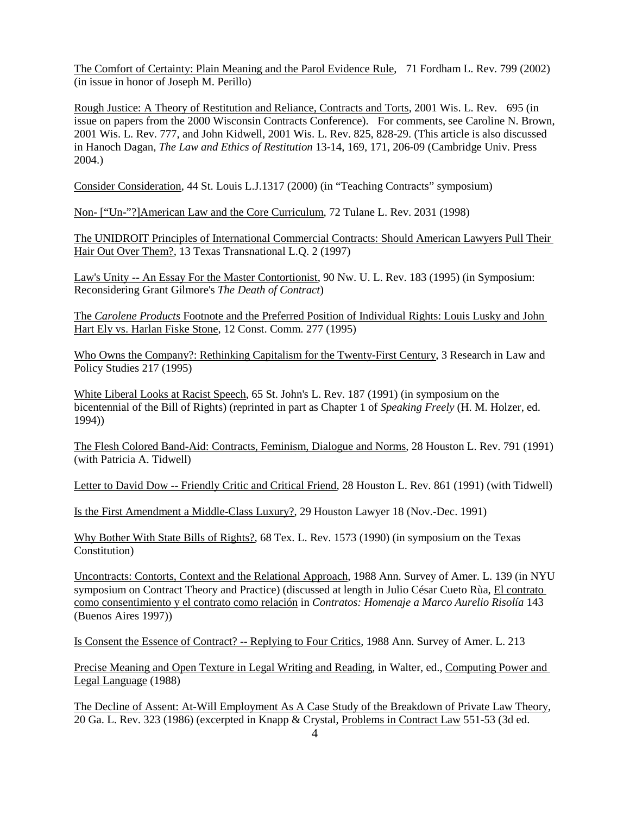The Comfort of Certainty: Plain Meaning and the Parol Evidence Rule, 71 Fordham L. Rev. 799 (2002) (in issue in honor of Joseph M. Perillo)

Rough Justice: A Theory of Restitution and Reliance, Contracts and Torts, 2001 Wis. L. Rev. 695 (in issue on papers from the 2000 Wisconsin Contracts Conference). For comments, see Caroline N. Brown, 2001 Wis. L. Rev. 777, and John Kidwell, 2001 Wis. L. Rev. 825, 828-29. (This article is also discussed in Hanoch Dagan, *The Law and Ethics of Restitution* 13-14, 169, 171, 206-09 (Cambridge Univ. Press 2004.)

Consider Consideration, 44 St. Louis L.J.1317 (2000) (in "Teaching Contracts" symposium)

Non- ["Un-"?]American Law and the Core Curriculum, 72 Tulane L. Rev. 2031 (1998)

The UNIDROIT Principles of International Commercial Contracts: Should American Lawyers Pull Their Hair Out Over Them?, 13 Texas Transnational L.Q. 2 (1997)

Law's Unity -- An Essay For the Master Contortionist, 90 Nw. U. L. Rev. 183 (1995) (in Symposium: Reconsidering Grant Gilmore's *The Death of Contract*)

The *Carolene Products* Footnote and the Preferred Position of Individual Rights: Louis Lusky and John Hart Ely vs. Harlan Fiske Stone, 12 Const. Comm. 277 (1995)

Who Owns the Company?: Rethinking Capitalism for the Twenty-First Century, 3 Research in Law and Policy Studies 217 (1995)

White Liberal Looks at Racist Speech, 65 St. John's L. Rev. 187 (1991) (in symposium on the bicentennial of the Bill of Rights) (reprinted in part as Chapter 1 of *Speaking Freely* (H. M. Holzer, ed. 1994))

The Flesh Colored Band-Aid: Contracts, Feminism, Dialogue and Norms, 28 Houston L. Rev. 791 (1991) (with Patricia A. Tidwell)

Letter to David Dow -- Friendly Critic and Critical Friend, 28 Houston L. Rev. 861 (1991) (with Tidwell)

Is the First Amendment a Middle-Class Luxury?, 29 Houston Lawyer 18 (Nov.-Dec. 1991)

Why Bother With State Bills of Rights?, 68 Tex. L. Rev. 1573 (1990) (in symposium on the Texas Constitution)

Uncontracts: Contorts, Context and the Relational Approach, 1988 Ann. Survey of Amer. L. 139 (in NYU symposium on Contract Theory and Practice) (discussed at length in Julio César Cueto Rùa, El contrato como consentimiento y el contrato como relación in *Contratos: Homenaje a Marco Aurelio Risolía* 143 (Buenos Aires 1997))

Is Consent the Essence of Contract? -- Replying to Four Critics, 1988 Ann. Survey of Amer. L. 213

Precise Meaning and Open Texture in Legal Writing and Reading, in Walter, ed., Computing Power and Legal Language (1988)

The Decline of Assent: At-Will Employment As A Case Study of the Breakdown of Private Law Theory, 20 Ga. L. Rev. 323 (1986) (excerpted in Knapp & Crystal, Problems in Contract Law 551-53 (3d ed.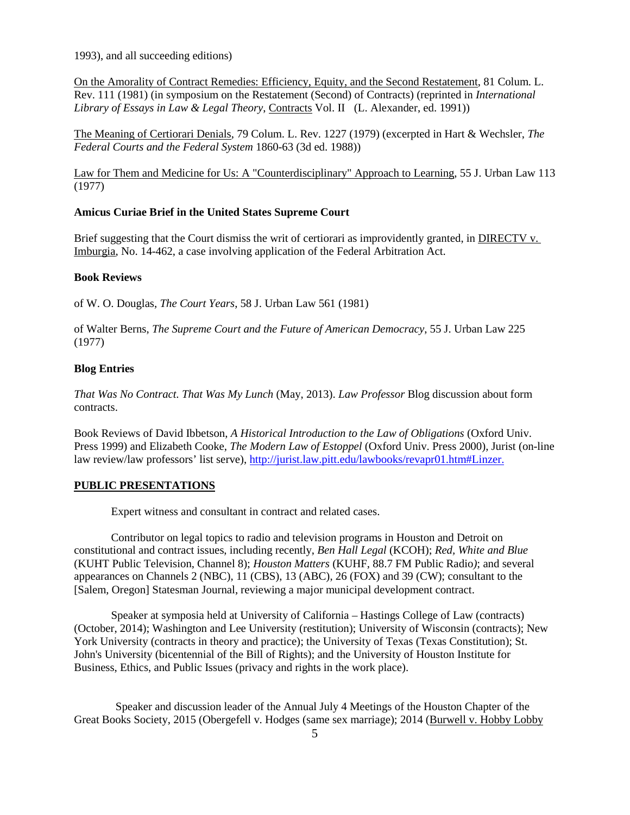1993), and all succeeding editions)

On the Amorality of Contract Remedies: Efficiency, Equity, and the Second Restatement, 81 Colum. L. Rev. 111 (1981) (in symposium on the Restatement (Second) of Contracts) (reprinted in *International Library of Essays in Law & Legal Theory*, Contracts Vol. II (L. Alexander, ed. 1991))

The Meaning of Certiorari Denials, 79 Colum. L. Rev. 1227 (1979) (excerpted in Hart & Wechsler, *The Federal Courts and the Federal System* 1860-63 (3d ed. 1988))

Law for Them and Medicine for Us: A "Counterdisciplinary" Approach to Learning, 55 J. Urban Law 113 (1977)

#### **Amicus Curiae Brief in the United States Supreme Court**

Brief suggesting that the Court dismiss the writ of certiorari as improvidently granted, in DIRECTV v. Imburgia, No. 14-462, a case involving application of the Federal Arbitration Act.

#### **Book Reviews**

of W. O. Douglas, *The Court Years*, 58 J. Urban Law 561 (1981)

of Walter Berns, *The Supreme Court and the Future of American Democracy*, 55 J. Urban Law 225 (1977)

### **Blog Entries**

*That Was No Contract. That Was My Lunch* (May, 2013). *Law Professor* Blog discussion about form contracts.

Book Reviews of David Ibbetson, *A Historical Introduction to the Law of Obligations* (Oxford Univ. Press 1999) and Elizabeth Cooke, *The Modern Law of Estoppel* (Oxford Univ. Press 2000), Jurist (on-line law review/law professors' list serve),<http://jurist.law.pitt.edu/lawbooks/revapr01.htm#Linzer.>

#### **PUBLIC PRESENTATIONS**

Expert witness and consultant in contract and related cases.

Contributor on legal topics to radio and television programs in Houston and Detroit on constitutional and contract issues, including recently, *Ben Hall Legal* (KCOH); *Red, White and Blue* (KUHT Public Television, Channel 8); *Houston Matters* (KUHF, 88.7 FM Public Radio*)*; and several appearances on Channels 2 (NBC), 11 (CBS), 13 (ABC), 26 (FOX) and 39 (CW); consultant to the [Salem, Oregon] Statesman Journal, reviewing a major municipal development contract.

Speaker at symposia held at University of California – Hastings College of Law (contracts) (October, 2014); Washington and Lee University (restitution); University of Wisconsin (contracts); New York University (contracts in theory and practice); the University of Texas (Texas Constitution); St. John's University (bicentennial of the Bill of Rights); and the University of Houston Institute for Business, Ethics, and Public Issues (privacy and rights in the work place).

Speaker and discussion leader of the Annual July 4 Meetings of the Houston Chapter of the Great Books Society, 2015 (Obergefell v. Hodges (same sex marriage); 2014 (Burwell v. Hobby Lobby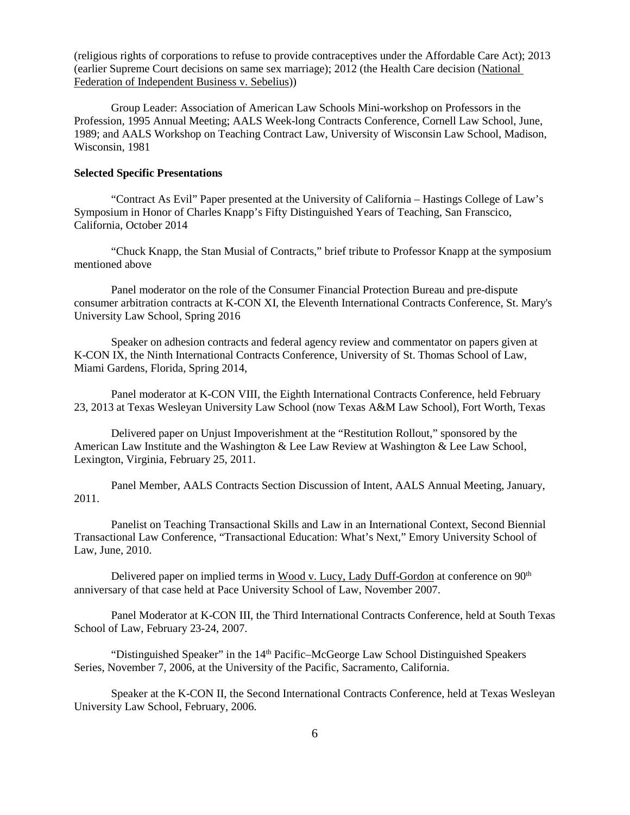(religious rights of corporations to refuse to provide contraceptives under the Affordable Care Act); 2013 (earlier Supreme Court decisions on same sex marriage); 2012 (the Health Care decision (National Federation of Independent Business v. Sebelius))

Group Leader: Association of American Law Schools Mini-workshop on Professors in the Profession, 1995 Annual Meeting; AALS Week-long Contracts Conference, Cornell Law School, June, 1989; and AALS Workshop on Teaching Contract Law, University of Wisconsin Law School, Madison, Wisconsin, 1981

#### **Selected Specific Presentations**

"Contract As Evil" Paper presented at the University of California – Hastings College of Law's Symposium in Honor of Charles Knapp's Fifty Distinguished Years of Teaching, San Franscico, California, October 2014

"Chuck Knapp, the Stan Musial of Contracts," brief tribute to Professor Knapp at the symposium mentioned above

Panel moderator on the role of the Consumer Financial Protection Bureau and pre-dispute consumer arbitration contracts at K-CON XI, the Eleventh International Contracts Conference, St. Mary's University Law School, Spring 2016

Speaker on adhesion contracts and federal agency review and commentator on papers given at K-CON IX, the Ninth International Contracts Conference, University of St. Thomas School of Law, Miami Gardens, Florida, Spring 2014,

Panel moderator at K-CON VIII, the Eighth International Contracts Conference, held February 23, 2013 at Texas Wesleyan University Law School (now Texas A&M Law School), Fort Worth, Texas

Delivered paper on Unjust Impoverishment at the "Restitution Rollout," sponsored by the American Law Institute and the Washington & Lee Law Review at Washington & Lee Law School, Lexington, Virginia, February 25, 2011.

Panel Member, AALS Contracts Section Discussion of Intent, AALS Annual Meeting, January, 2011.

Panelist on Teaching Transactional Skills and Law in an International Context, Second Biennial Transactional Law Conference, "Transactional Education: What's Next," Emory University School of Law, June, 2010.

Delivered paper on implied terms in Wood v. Lucy, Lady Duff-Gordon at conference on 90<sup>th</sup> anniversary of that case held at Pace University School of Law, November 2007.

Panel Moderator at K-CON III, the Third International Contracts Conference, held at South Texas School of Law, February 23-24, 2007.

"Distinguished Speaker" in the 14th Pacific–McGeorge Law School Distinguished Speakers Series, November 7, 2006, at the University of the Pacific, Sacramento, California.

Speaker at the K-CON II, the Second International Contracts Conference, held at Texas Wesleyan University Law School, February, 2006.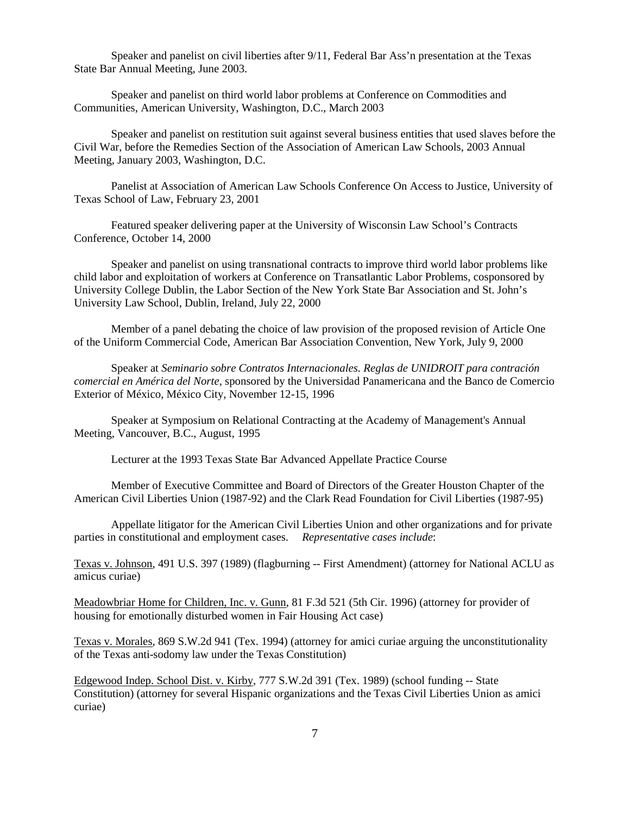Speaker and panelist on civil liberties after 9/11, Federal Bar Ass'n presentation at the Texas State Bar Annual Meeting, June 2003.

Speaker and panelist on third world labor problems at Conference on Commodities and Communities, American University, Washington, D.C., March 2003

Speaker and panelist on restitution suit against several business entities that used slaves before the Civil War, before the Remedies Section of the Association of American Law Schools, 2003 Annual Meeting, January 2003, Washington, D.C.

Panelist at Association of American Law Schools Conference On Access to Justice, University of Texas School of Law, February 23, 2001

Featured speaker delivering paper at the University of Wisconsin Law School's Contracts Conference, October 14, 2000

Speaker and panelist on using transnational contracts to improve third world labor problems like child labor and exploitation of workers at Conference on Transatlantic Labor Problems, cosponsored by University College Dublin, the Labor Section of the New York State Bar Association and St. John's University Law School, Dublin, Ireland, July 22, 2000

Member of a panel debating the choice of law provision of the proposed revision of Article One of the Uniform Commercial Code, American Bar Association Convention, New York, July 9, 2000

Speaker at *Seminario sobre Contratos Internacionales. Reglas de UNIDROIT para contración comercial en América del Norte*, sponsored by the Universidad Panamericana and the Banco de Comercio Exterior of México, México City, November 12-15, 1996

Speaker at Symposium on Relational Contracting at the Academy of Management's Annual Meeting, Vancouver, B.C., August, 1995

Lecturer at the 1993 Texas State Bar Advanced Appellate Practice Course

Member of Executive Committee and Board of Directors of the Greater Houston Chapter of the American Civil Liberties Union (1987-92) and the Clark Read Foundation for Civil Liberties (1987-95)

Appellate litigator for the American Civil Liberties Union and other organizations and for private parties in constitutional and employment cases. *Representative cases include*:

Texas v. Johnson, 491 U.S. 397 (1989) (flagburning -- First Amendment) (attorney for National ACLU as amicus curiae)

Meadowbriar Home for Children, Inc. v. Gunn, 81 F.3d 521 (5th Cir. 1996) (attorney for provider of housing for emotionally disturbed women in Fair Housing Act case)

Texas v. Morales, 869 S.W.2d 941 (Tex. 1994) (attorney for amici curiae arguing the unconstitutionality of the Texas anti-sodomy law under the Texas Constitution)

Edgewood Indep. School Dist. v. Kirby, 777 S.W.2d 391 (Tex. 1989) (school funding -- State Constitution) (attorney for several Hispanic organizations and the Texas Civil Liberties Union as amici curiae)